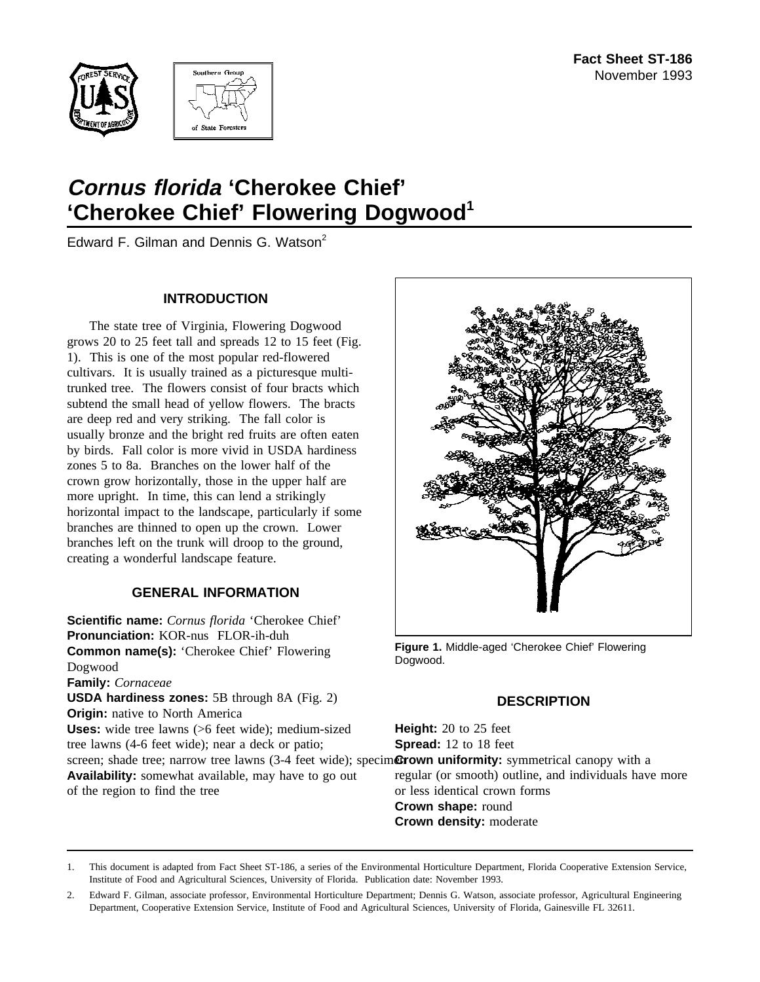



# **Cornus florida 'Cherokee Chief'** 'Cherokee Chief' Flowering Dogwood<sup>1</sup>

Edward F. Gilman and Dennis G. Watson<sup>2</sup>

#### **INTRODUCTION**

The state tree of Virginia, Flowering Dogwood grows 20 to 25 feet tall and spreads 12 to 15 feet (Fig. 1). This is one of the most popular red-flowered cultivars. It is usually trained as a picturesque multitrunked tree. The flowers consist of four bracts which subtend the small head of yellow flowers. The bracts are deep red and very striking. The fall color is usually bronze and the bright red fruits are often eaten by birds. Fall color is more vivid in USDA hardiness zones 5 to 8a. Branches on the lower half of the crown grow horizontally, those in the upper half are more upright. In time, this can lend a strikingly horizontal impact to the landscape, particularly if some branches are thinned to open up the crown. Lower branches left on the trunk will droop to the ground, creating a wonderful landscape feature.

# **GENERAL INFORMATION**

**Scientific name:** *Cornus florida* 'Cherokee Chief' **Pronunciation:** KOR-nus FLOR-ih-duh **Common name(s):** 'Cherokee Chief' Flowering Dogwood **Family:** *Cornaceae* **USDA hardiness zones:** 5B through 8A (Fig. 2) **Origin:** native to North America **Uses:** wide tree lawns (>6 feet wide); medium-sized tree lawns (4-6 feet wide); near a deck or patio; screen; shade tree; narrow tree lawns (3-4 feet wide); specim**Grown uniformity:** symmetrical canopy with a **Availability:** somewhat available, may have to go out of the region to find the tree



**Figure 1.** Middle-aged 'Cherokee Chief' Flowering Dogwood.

# **DESCRIPTION**

**Height:** 20 to 25 feet **Spread:** 12 to 18 feet

regular (or smooth) outline, and individuals have more or less identical crown forms **Crown shape:** round

**Crown density:** moderate

1. This document is adapted from Fact Sheet ST-186, a series of the Environmental Horticulture Department, Florida Cooperative Extension Service, Institute of Food and Agricultural Sciences, University of Florida. Publication date: November 1993.

2. Edward F. Gilman, associate professor, Environmental Horticulture Department; Dennis G. Watson, associate professor, Agricultural Engineering Department, Cooperative Extension Service, Institute of Food and Agricultural Sciences, University of Florida, Gainesville FL 32611.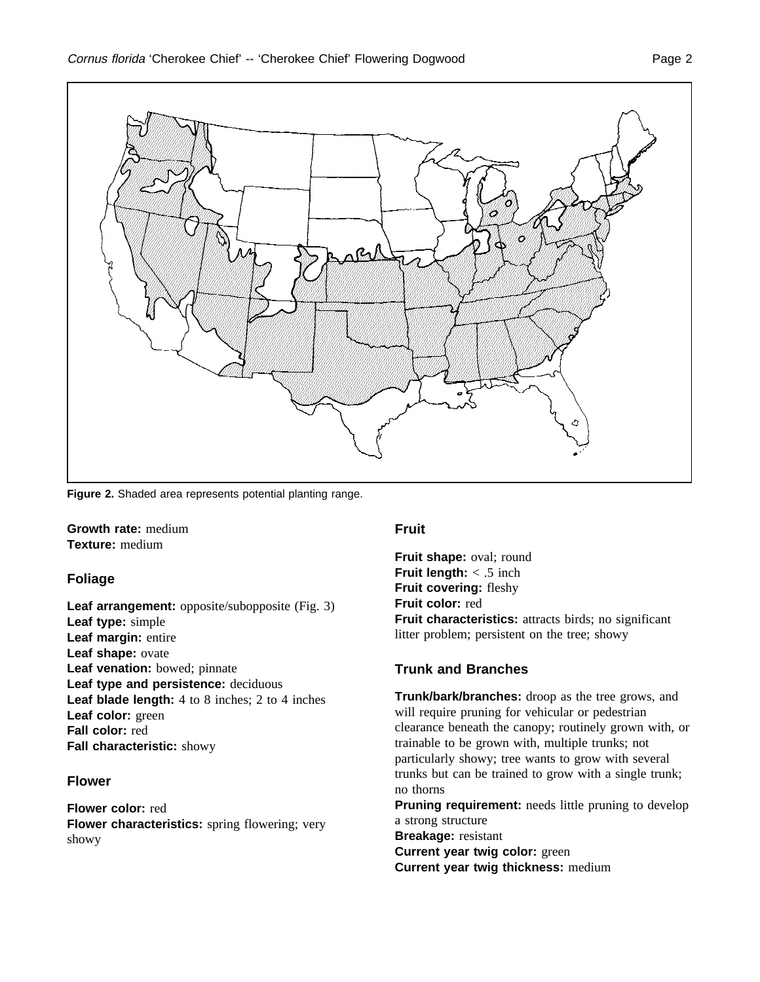

**Figure 2.** Shaded area represents potential planting range.

**Growth rate:** medium **Texture:** medium

# **Foliage**

**Leaf arrangement:** opposite/subopposite (Fig. 3) **Leaf type:** simple **Leaf margin:** entire **Leaf shape:** ovate **Leaf venation:** bowed; pinnate **Leaf type and persistence:** deciduous **Leaf blade length:** 4 to 8 inches; 2 to 4 inches **Leaf color:** green **Fall color:** red **Fall characteristic:** showy

#### **Flower**

**Flower color:** red **Flower characteristics:** spring flowering; very showy

#### **Fruit**

**Fruit shape:** oval; round **Fruit length:** < .5 inch **Fruit covering:** fleshy **Fruit color:** red **Fruit characteristics:** attracts birds; no significant litter problem; persistent on the tree; showy

# **Trunk and Branches**

**Trunk/bark/branches:** droop as the tree grows, and will require pruning for vehicular or pedestrian clearance beneath the canopy; routinely grown with, or trainable to be grown with, multiple trunks; not particularly showy; tree wants to grow with several trunks but can be trained to grow with a single trunk; no thorns **Pruning requirement:** needs little pruning to develop a strong structure **Breakage:** resistant

**Current year twig color:** green **Current year twig thickness:** medium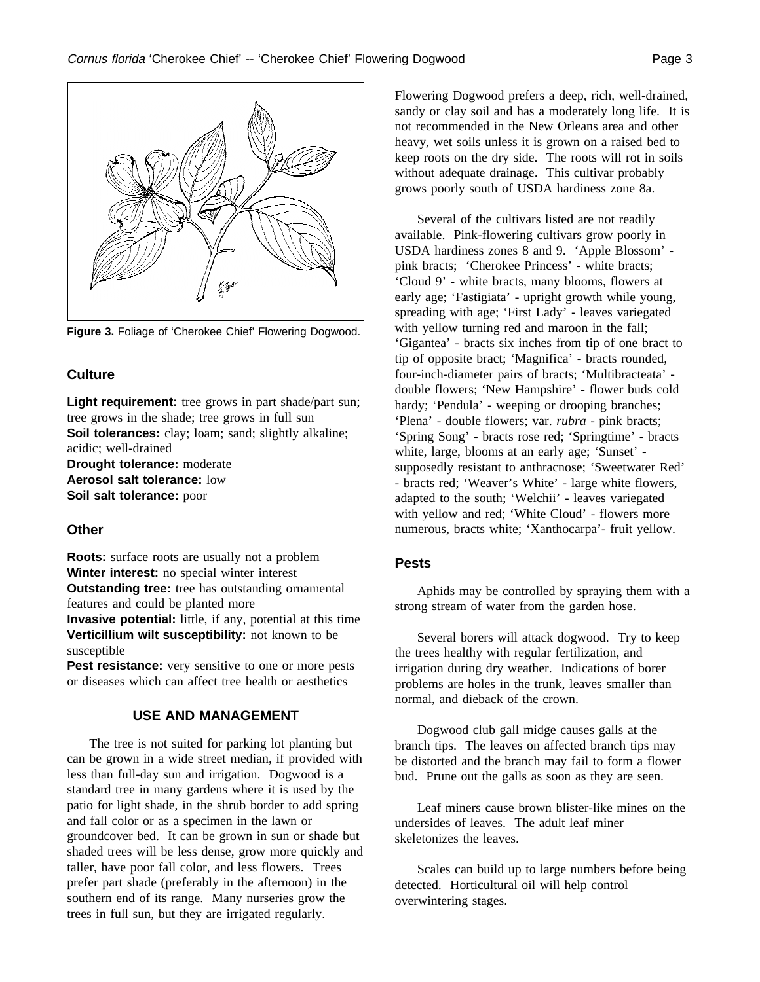

**Figure 3.** Foliage of 'Cherokee Chief' Flowering Dogwood.

#### **Culture**

Light requirement: tree grows in part shade/part sun; tree grows in the shade; tree grows in full sun **Soil tolerances:** clay; loam; sand; slightly alkaline; acidic; well-drained

**Drought tolerance:** moderate **Aerosol salt tolerance:** low **Soil salt tolerance:** poor

# **Other**

**Roots:** surface roots are usually not a problem **Winter interest:** no special winter interest **Outstanding tree:** tree has outstanding ornamental features and could be planted more **Invasive potential:** little, if any, potential at this time **Verticillium wilt susceptibility:** not known to be susceptible

**Pest resistance:** very sensitive to one or more pests or diseases which can affect tree health or aesthetics

# **USE AND MANAGEMENT**

The tree is not suited for parking lot planting but can be grown in a wide street median, if provided with less than full-day sun and irrigation. Dogwood is a standard tree in many gardens where it is used by the patio for light shade, in the shrub border to add spring and fall color or as a specimen in the lawn or groundcover bed. It can be grown in sun or shade but shaded trees will be less dense, grow more quickly and taller, have poor fall color, and less flowers. Trees prefer part shade (preferably in the afternoon) in the southern end of its range. Many nurseries grow the trees in full sun, but they are irrigated regularly.

Flowering Dogwood prefers a deep, rich, well-drained, sandy or clay soil and has a moderately long life. It is not recommended in the New Orleans area and other heavy, wet soils unless it is grown on a raised bed to keep roots on the dry side. The roots will rot in soils without adequate drainage. This cultivar probably grows poorly south of USDA hardiness zone 8a.

Several of the cultivars listed are not readily available. Pink-flowering cultivars grow poorly in USDA hardiness zones 8 and 9. 'Apple Blossom' pink bracts; 'Cherokee Princess' - white bracts; 'Cloud 9' - white bracts, many blooms, flowers at early age; 'Fastigiata' - upright growth while young, spreading with age; 'First Lady' - leaves variegated with yellow turning red and maroon in the fall; 'Gigantea' - bracts six inches from tip of one bract to tip of opposite bract; 'Magnifica' - bracts rounded, four-inch-diameter pairs of bracts; 'Multibracteata' double flowers; 'New Hampshire' - flower buds cold hardy; 'Pendula' - weeping or drooping branches; 'Plena' - double flowers; var. *rubra* - pink bracts; 'Spring Song' - bracts rose red; 'Springtime' - bracts white, large, blooms at an early age; 'Sunset' supposedly resistant to anthracnose; 'Sweetwater Red' - bracts red; 'Weaver's White' - large white flowers, adapted to the south; 'Welchii' - leaves variegated with yellow and red; 'White Cloud' - flowers more numerous, bracts white; 'Xanthocarpa'- fruit yellow.

# **Pests**

Aphids may be controlled by spraying them with a strong stream of water from the garden hose.

Several borers will attack dogwood. Try to keep the trees healthy with regular fertilization, and irrigation during dry weather. Indications of borer problems are holes in the trunk, leaves smaller than normal, and dieback of the crown.

Dogwood club gall midge causes galls at the branch tips. The leaves on affected branch tips may be distorted and the branch may fail to form a flower bud. Prune out the galls as soon as they are seen.

Leaf miners cause brown blister-like mines on the undersides of leaves. The adult leaf miner skeletonizes the leaves.

Scales can build up to large numbers before being detected. Horticultural oil will help control overwintering stages.